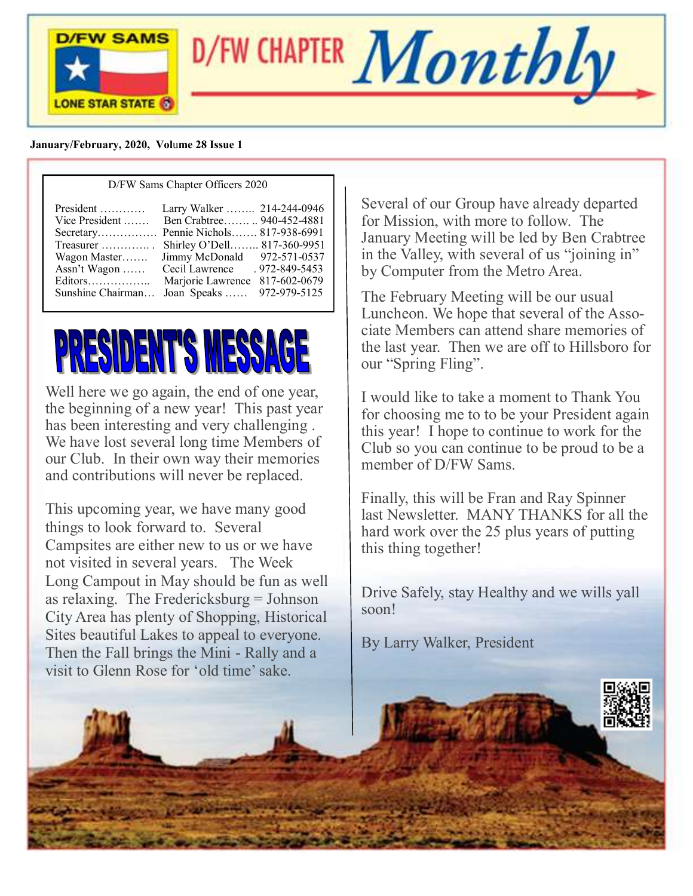

D/FW CHAPTER  $\boldsymbol{Monthly}$ 

#### **January/February, 2020, Vol**u**me 28 Issue 1**

#### D/FW Sams Chapter Officers 2020

| President<br>Vice President<br>Secretary Pennie Nichols 817-938-6991<br>Treasurer $\dots\dots\dots\dots$<br>Wagon Master<br>Assn't Wagon<br>Sunshine Chairman | Larry Walker  214-244-0946<br>Ben Crabtree 940-452-4881<br>Shirley O'Dell 817-360-9951<br>Jimmy McDonald 972-571-0537<br>Cecil Lawrence<br>Marjorie Lawrence<br>Joan Speaks | . 972-849-5453<br>817-602-0679<br>972-979-5125 |
|---------------------------------------------------------------------------------------------------------------------------------------------------------------|-----------------------------------------------------------------------------------------------------------------------------------------------------------------------------|------------------------------------------------|
|---------------------------------------------------------------------------------------------------------------------------------------------------------------|-----------------------------------------------------------------------------------------------------------------------------------------------------------------------------|------------------------------------------------|

# PRESIDENT'S MESSAGE

Well here we go again, the end of one year, the beginning of a new year! This past year has been interesting and very challenging . We have lost several long time Members of our Club. In their own way their memories and contributions will never be replaced.

This upcoming year, we have many good things to look forward to. Several Campsites are either new to us or we have not visited in several years. The Week Long Campout in May should be fun as well as relaxing. The Fredericksburg = Johnson City Area has plenty of Shopping, Historical Sites beautiful Lakes to appeal to everyone. Then the Fall brings the Mini - Rally and a visit to Glenn Rose for 'old time' sake.

Several of our Group have already departed for Mission, with more to follow. The January Meeting will be led by Ben Crabtree in the Valley, with several of us "joining in" by Computer from the Metro Area.

The February Meeting will be our usual Luncheon. We hope that several of the Associate Members can attend share memories of the last year. Then we are off to Hillsboro for our "Spring Fling".

I would like to take a moment to Thank You for choosing me to to be your President again this year! I hope to continue to work for the Club so you can continue to be proud to be a member of D/FW Sams.

Finally, this will be Fran and Ray Spinner last Newsletter. MANY THANKS for all the hard work over the 25 plus years of putting this thing together!

Drive Safely, stay Healthy and we wills yall soon!

By Larry Walker, President

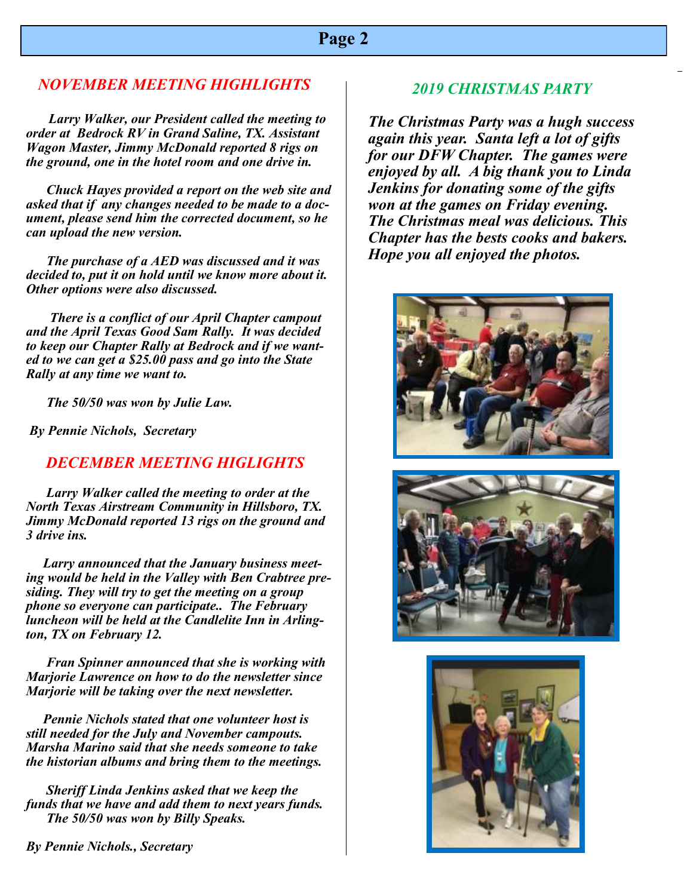#### **Page 2**

#### *NOVEMBER MEETING HIGHLIGHTS*

 *Larry Walker, our President called the meeting to order at Bedrock RV in Grand Saline, TX. Assistant Wagon Master, Jimmy McDonald reported 8 rigs on the ground, one in the hotel room and one drive in.* 

 *Chuck Hayes provided a report on the web site and asked that if any changes needed to be made to a document, please send him the corrected document, so he can upload the new version.*

 *The purchase of a AED was discussed and it was decided to, put it on hold until we know more about it. Other options were also discussed.*

 *There is a conflict of our April Chapter campout and the April Texas Good Sam Rally. It was decided to keep our Chapter Rally at Bedrock and if we wanted to we can get a \$25.00 pass and go into the State Rally at any time we want to.*

 *The 50/50 was won by Julie Law.*

*By Pennie Nichols, Secretary* 

#### *DECEMBER MEETING HIGLIGHTS*

 *Larry Walker called the meeting to order at the North Texas Airstream Community in Hillsboro, TX. Jimmy McDonald reported 13 rigs on the ground and 3 drive ins.*

 *Larry announced that the January business meeting would be held in the Valley with Ben Crabtree presiding. They will try to get the meeting on a group phone so everyone can participate.. The February luncheon will be held at the Candlelite Inn in Arlington, TX on February 12.*

 *Fran Spinner announced that she is working with Marjorie Lawrence on how to do the newsletter since Marjorie will be taking over the next newsletter.*

 *Pennie Nichols stated that one volunteer host is still needed for the July and November campouts. Marsha Marino said that she needs someone to take the historian albums and bring them to the meetings.*

 *Sheriff Linda Jenkins asked that we keep the funds that we have and add them to next years funds. The 50/50 was won by Billy Speaks.*

*By Pennie Nichols., Secretary*

#### *2019 CHRISTMAS PARTY*

 *again this year. Santa left a lot of gifts The Christmas Party was a hugh success for our DFW Chapter. The games were enjoyed by all. A big thank you to Linda Jenkins for donating some of the gifts won at the games on Friday evening. The Christmas meal was delicious. This Chapter has the bests cooks and bakers. Hope you all enjoyed the photos.*





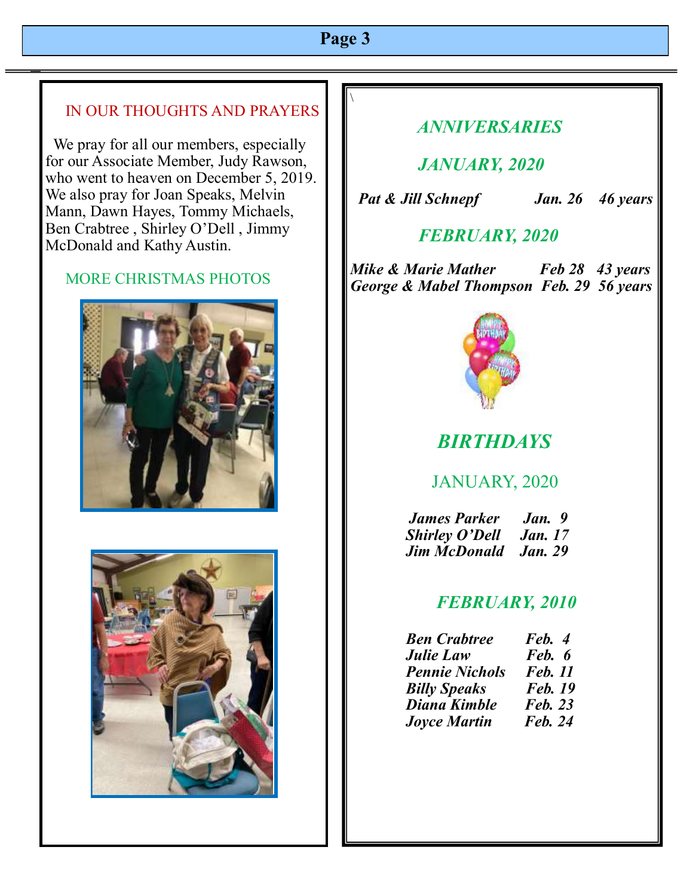#### **Page 3**

 $\setminus$ 

#### IN OUR THOUGHTS AND PRAYERS

 We pray for all our members, especially for our Associate Member, Judy Rawson, who went to heaven on December 5, 2019. We also pray for Joan Speaks, Melvin Mann, Dawn Hayes, Tommy Michaels, Ben Crabtree , Shirley O'Dell , Jimmy McDonald and Kathy Austin.

#### MORE CHRISTMAS PHOTOS





# *ANNIVERSARIES*

 *JANUARY, 2020* 

 *Pat & Jill Schnepf Jan. 26 46 years*

#### *FEBRUARY, 2020*

*Mike & Marie Mather Feb 28 43 years George & Mabel Thompson Feb. 29 56 years*



# *BIRTHDAYS*

# JANUARY, 2020

 *James Parker Jan. 9 <i>Shirley O'Dell Jim McDonald Jan. 29*

#### *FEBRUARY, 2010*

| <b>Ben Crabtree</b>   | Feb. 4         |
|-----------------------|----------------|
| <b>Julie Law</b>      | Feb. 6         |
| <b>Pennie Nichols</b> | <b>Feb.</b> 11 |
| <b>Billy Speaks</b>   | <b>Feb.</b> 19 |
| Diana Kimble          | <b>Feb. 23</b> |
| <b>Joyce Martin</b>   | <b>Feb. 24</b> |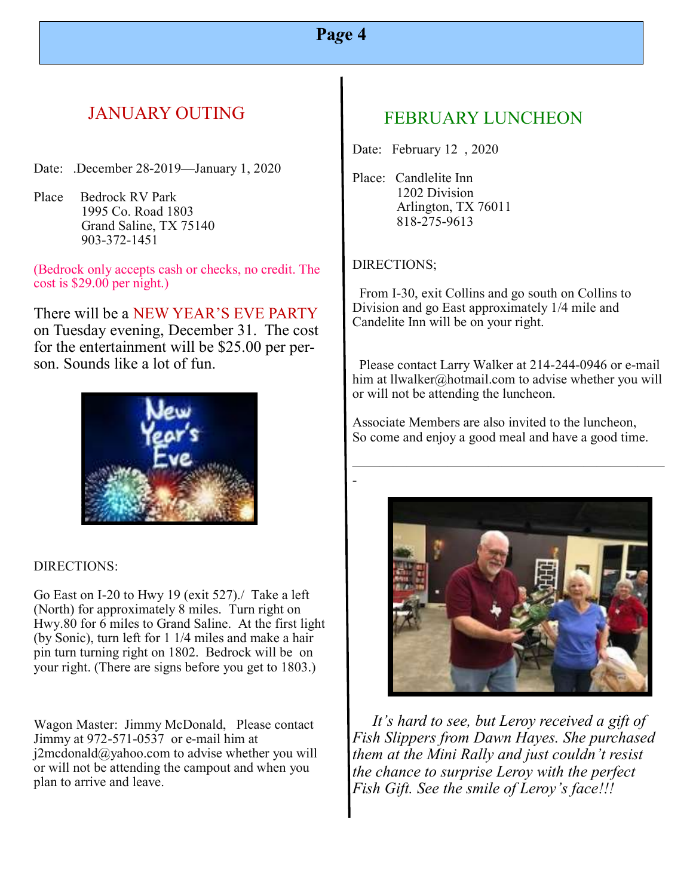# **Pa***g***e 4**

# JANUARY OUTING

Date: .December 28-2019—January 1, 2020

Place Bedrock RV Park 1995 Co. Road 1803 Grand Saline, TX 75140 903-372-1451

(Bedrock only accepts cash or checks, no credit. The cost is \$29.00 per night.)

There will be a NEW YEAR'S EVE PARTY on Tuesday evening, December 31. The cost for the entertainment will be \$25.00 per person. Sounds like a lot of fun.



#### DIRECTIONS:

Go East on I-20 to Hwy 19 (exit 527)./ Take a left (North) for approximately 8 miles. Turn right on Hwy.80 for 6 miles to Grand Saline. At the first light (by Sonic), turn left for 1 1/4 miles and make a hair pin turn turning right on 1802. Bedrock will be on your right. (There are signs before you get to 1803.)

Wagon Master: Jimmy McDonald, Please contact Jimmy at 972-571-0537 or e-mail him at  $j2$ mcdonald@yahoo.com to advise whether you will or will not be attending the campout and when you plan to arrive and leave.

#### FEBRUARY LUNCHEON

Date: February 12 , 2020

Place: Candlelite Inn 1202 Division Arlington, TX 76011 818-275-9613

#### DIRECTIONS;

-

 From I-30, exit Collins and go south on Collins to Division and go East approximately 1/4 mile and Candelite Inn will be on your right.

 Please contact Larry Walker at 214-244-0946 or e-mail him at llwalker@hotmail.com to advise whether you will or will not be attending the luncheon.

Associate Members are also invited to the luncheon, So come and enjoy a good meal and have a good time.

 $\overline{\phantom{a}}$  , and the contract of the contract of the contract of the contract of the contract of the contract of the contract of the contract of the contract of the contract of the contract of the contract of the contrac



 *It's hard to see, but Leroy received a gift of Fish Slippers from Dawn Hayes. She purchased them at the Mini Rally and just couldn't resist the chance to surprise Leroy with the perfect Fish Gift. See the smile of Leroy's face!!!*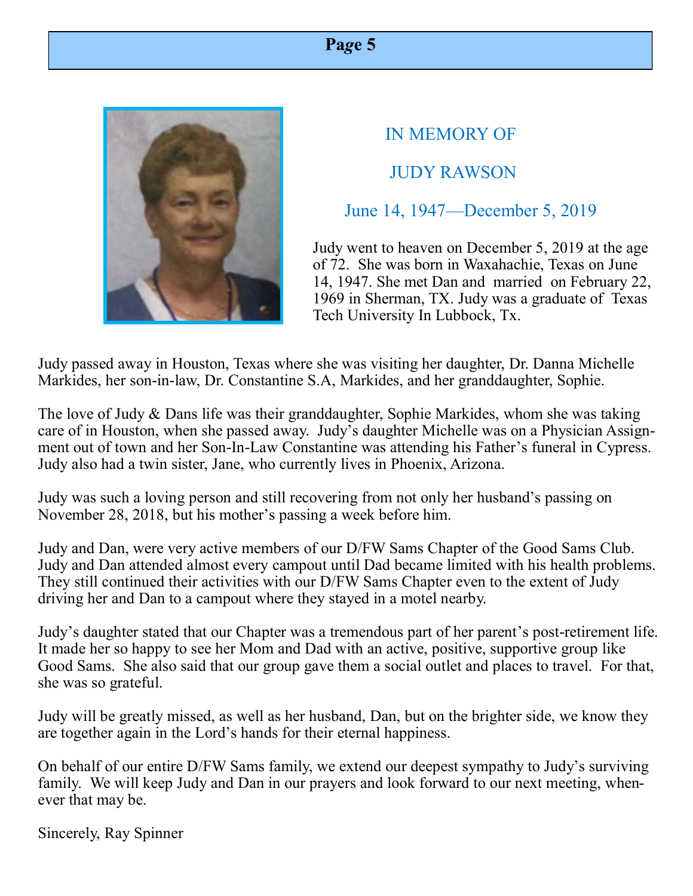# IN MEMORY OF JUDY RAWSON

# June 14, 1947—December 5, 2019

Judy went to heaven on December 5, 2019 at the age of 72. She was born in Waxahachie, Texas on June 14, 1947. She met Dan and married on February 22, 1969 in Sherman, TX. Judy was a graduate of Texas Tech University In Lubbock, Tx.

Judy passed away in Houston, Texas where she was visiting her daughter, Dr. Danna Michelle Markides, her son-in-law, Dr. Constantine S.A, Markides, and her granddaughter, Sophie.

The love of Judy & Dans life was their granddaughter, Sophie Markides, whom she was taking care of in Houston, when she passed away. Judy's daughter Michelle was on a Physician Assignment out of town and her Son-In-Law Constantine was attending his Father's funeral in Cypress. Judy also had a twin sister, Jane, who currently lives in Phoenix, Arizona.

Judy was such a loving person and still recovering from not only her husband's passing on November 28, 2018, but his mother's passing a week before him.

Judy and Dan, were very active members of our D/FW Sams Chapter of the Good Sams Club. Judy and Dan attended almost every campout until Dad became limited with his health problems. They still continued their activities with our D/FW Sams Chapter even to the extent of Judy driving her and Dan to a campout where they stayed in a motel nearby.

Judy's daughter stated that our Chapter was a tremendous part of her parent's post-retirement life. It made her so happy to see her Mom and Dad with an active, positive, supportive group like Good Sams. She also said that our group gave them a social outlet and places to travel. For that, she was so grateful.

Judy will be greatly missed, as well as her husband, Dan, but on the brighter side, we know they are together again in the Lord's hands for their eternal happiness.

On behalf of our entire D/FW Sams family, we extend our deepest sympathy to Judy's surviving family. We will keep Judy and Dan in our prayers and look forward to our next meeting, whenever that may be.

Sincerely, Ray Spinner